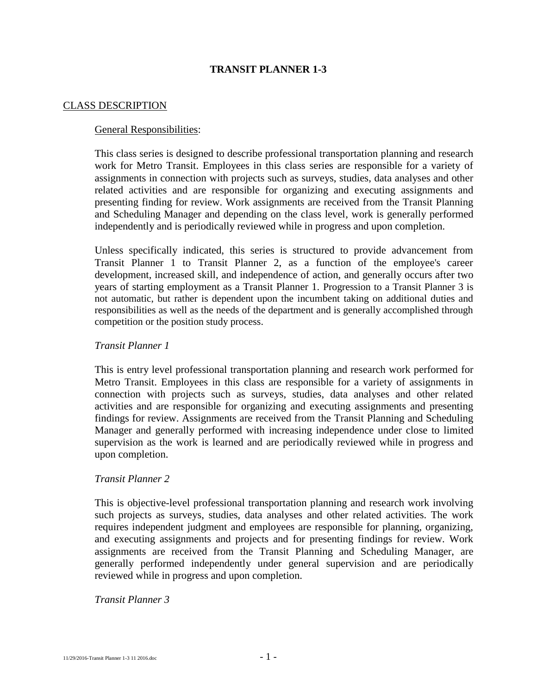# **TRANSIT PLANNER 1-3**

## CLASS DESCRIPTION

## General Responsibilities:

This class series is designed to describe professional transportation planning and research work for Metro Transit. Employees in this class series are responsible for a variety of assignments in connection with projects such as surveys, studies, data analyses and other related activities and are responsible for organizing and executing assignments and presenting finding for review. Work assignments are received from the Transit Planning and Scheduling Manager and depending on the class level, work is generally performed independently and is periodically reviewed while in progress and upon completion.

Unless specifically indicated, this series is structured to provide advancement from Transit Planner 1 to Transit Planner 2, as a function of the employee's career development, increased skill, and independence of action, and generally occurs after two years of starting employment as a Transit Planner 1. Progression to a Transit Planner 3 is not automatic, but rather is dependent upon the incumbent taking on additional duties and responsibilities as well as the needs of the department and is generally accomplished through competition or the position study process.

## *Transit Planner 1*

This is entry level professional transportation planning and research work performed for Metro Transit. Employees in this class are responsible for a variety of assignments in connection with projects such as surveys, studies, data analyses and other related activities and are responsible for organizing and executing assignments and presenting findings for review. Assignments are received from the Transit Planning and Scheduling Manager and generally performed with increasing independence under close to limited supervision as the work is learned and are periodically reviewed while in progress and upon completion.

## *Transit Planner 2*

This is objective-level professional transportation planning and research work involving such projects as surveys, studies, data analyses and other related activities. The work requires independent judgment and employees are responsible for planning, organizing, and executing assignments and projects and for presenting findings for review. Work assignments are received from the Transit Planning and Scheduling Manager, are generally performed independently under general supervision and are periodically reviewed while in progress and upon completion.

#### *Transit Planner 3*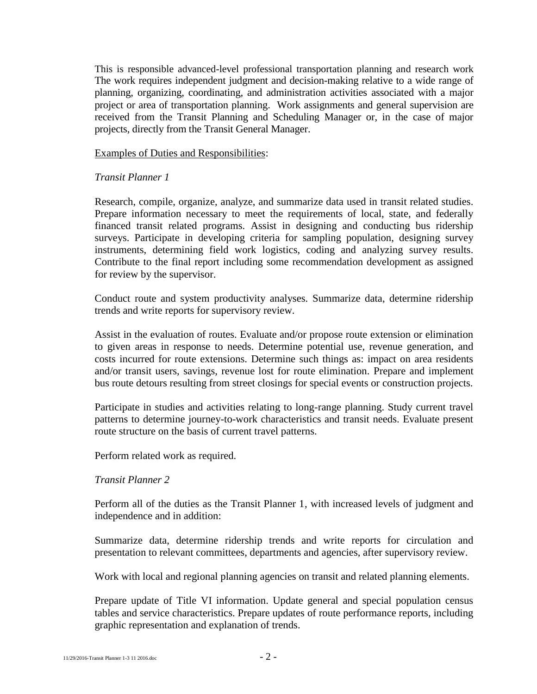This is responsible advanced-level professional transportation planning and research work The work requires independent judgment and decision-making relative to a wide range of planning, organizing, coordinating, and administration activities associated with a major project or area of transportation planning. Work assignments and general supervision are received from the Transit Planning and Scheduling Manager or, in the case of major projects, directly from the Transit General Manager.

Examples of Duties and Responsibilities:

## *Transit Planner 1*

Research, compile, organize, analyze, and summarize data used in transit related studies. Prepare information necessary to meet the requirements of local, state, and federally financed transit related programs. Assist in designing and conducting bus ridership surveys. Participate in developing criteria for sampling population, designing survey instruments, determining field work logistics, coding and analyzing survey results. Contribute to the final report including some recommendation development as assigned for review by the supervisor.

Conduct route and system productivity analyses. Summarize data, determine ridership trends and write reports for supervisory review.

Assist in the evaluation of routes. Evaluate and/or propose route extension or elimination to given areas in response to needs. Determine potential use, revenue generation, and costs incurred for route extensions. Determine such things as: impact on area residents and/or transit users, savings, revenue lost for route elimination. Prepare and implement bus route detours resulting from street closings for special events or construction projects.

Participate in studies and activities relating to long-range planning. Study current travel patterns to determine journey-to-work characteristics and transit needs. Evaluate present route structure on the basis of current travel patterns.

Perform related work as required.

# *Transit Planner 2*

Perform all of the duties as the Transit Planner 1, with increased levels of judgment and independence and in addition:

Summarize data, determine ridership trends and write reports for circulation and presentation to relevant committees, departments and agencies, after supervisory review.

Work with local and regional planning agencies on transit and related planning elements.

Prepare update of Title VI information. Update general and special population census tables and service characteristics. Prepare updates of route performance reports, including graphic representation and explanation of trends.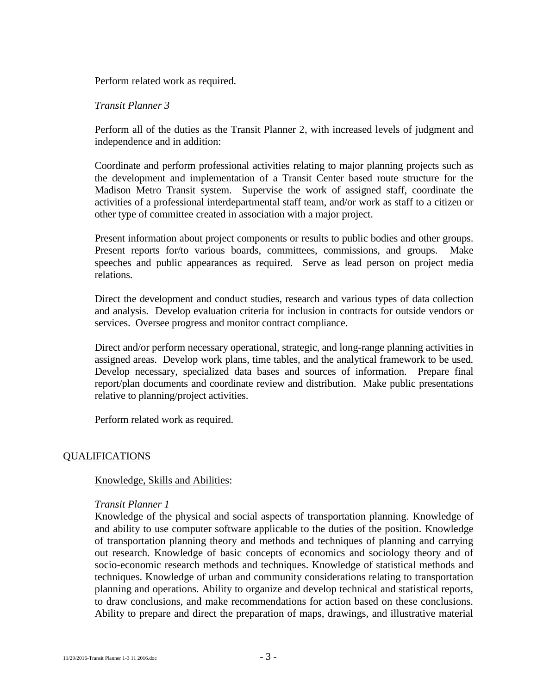Perform related work as required.

## *Transit Planner 3*

Perform all of the duties as the Transit Planner 2, with increased levels of judgment and independence and in addition:

Coordinate and perform professional activities relating to major planning projects such as the development and implementation of a Transit Center based route structure for the Madison Metro Transit system. Supervise the work of assigned staff, coordinate the activities of a professional interdepartmental staff team, and/or work as staff to a citizen or other type of committee created in association with a major project.

Present information about project components or results to public bodies and other groups. Present reports for/to various boards, committees, commissions, and groups. Make speeches and public appearances as required. Serve as lead person on project media relations.

Direct the development and conduct studies, research and various types of data collection and analysis. Develop evaluation criteria for inclusion in contracts for outside vendors or services. Oversee progress and monitor contract compliance.

Direct and/or perform necessary operational, strategic, and long-range planning activities in assigned areas. Develop work plans, time tables, and the analytical framework to be used. Develop necessary, specialized data bases and sources of information. Prepare final report/plan documents and coordinate review and distribution. Make public presentations relative to planning/project activities.

Perform related work as required.

# QUALIFICATIONS

# Knowledge, Skills and Abilities:

#### *Transit Planner 1*

Knowledge of the physical and social aspects of transportation planning. Knowledge of and ability to use computer software applicable to the duties of the position. Knowledge of transportation planning theory and methods and techniques of planning and carrying out research. Knowledge of basic concepts of economics and sociology theory and of socio-economic research methods and techniques. Knowledge of statistical methods and techniques. Knowledge of urban and community considerations relating to transportation planning and operations. Ability to organize and develop technical and statistical reports, to draw conclusions, and make recommendations for action based on these conclusions. Ability to prepare and direct the preparation of maps, drawings, and illustrative material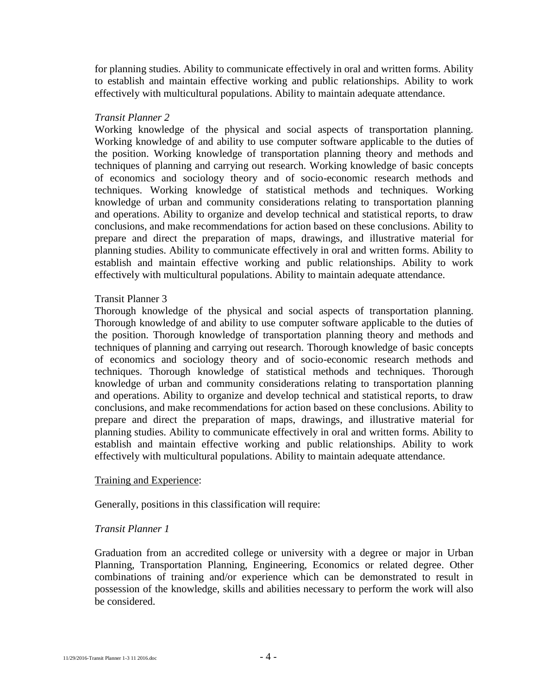for planning studies. Ability to communicate effectively in oral and written forms. Ability to establish and maintain effective working and public relationships. Ability to work effectively with multicultural populations. Ability to maintain adequate attendance.

# *Transit Planner 2*

Working knowledge of the physical and social aspects of transportation planning. Working knowledge of and ability to use computer software applicable to the duties of the position. Working knowledge of transportation planning theory and methods and techniques of planning and carrying out research. Working knowledge of basic concepts of economics and sociology theory and of socio-economic research methods and techniques. Working knowledge of statistical methods and techniques. Working knowledge of urban and community considerations relating to transportation planning and operations. Ability to organize and develop technical and statistical reports, to draw conclusions, and make recommendations for action based on these conclusions. Ability to prepare and direct the preparation of maps, drawings, and illustrative material for planning studies. Ability to communicate effectively in oral and written forms. Ability to establish and maintain effective working and public relationships. Ability to work effectively with multicultural populations. Ability to maintain adequate attendance.

# Transit Planner 3

Thorough knowledge of the physical and social aspects of transportation planning. Thorough knowledge of and ability to use computer software applicable to the duties of the position. Thorough knowledge of transportation planning theory and methods and techniques of planning and carrying out research. Thorough knowledge of basic concepts of economics and sociology theory and of socio-economic research methods and techniques. Thorough knowledge of statistical methods and techniques. Thorough knowledge of urban and community considerations relating to transportation planning and operations. Ability to organize and develop technical and statistical reports, to draw conclusions, and make recommendations for action based on these conclusions. Ability to prepare and direct the preparation of maps, drawings, and illustrative material for planning studies. Ability to communicate effectively in oral and written forms. Ability to establish and maintain effective working and public relationships. Ability to work effectively with multicultural populations. Ability to maintain adequate attendance.

# Training and Experience:

Generally, positions in this classification will require:

# *Transit Planner 1*

Graduation from an accredited college or university with a degree or major in Urban Planning, Transportation Planning, Engineering, Economics or related degree. Other combinations of training and/or experience which can be demonstrated to result in possession of the knowledge, skills and abilities necessary to perform the work will also be considered.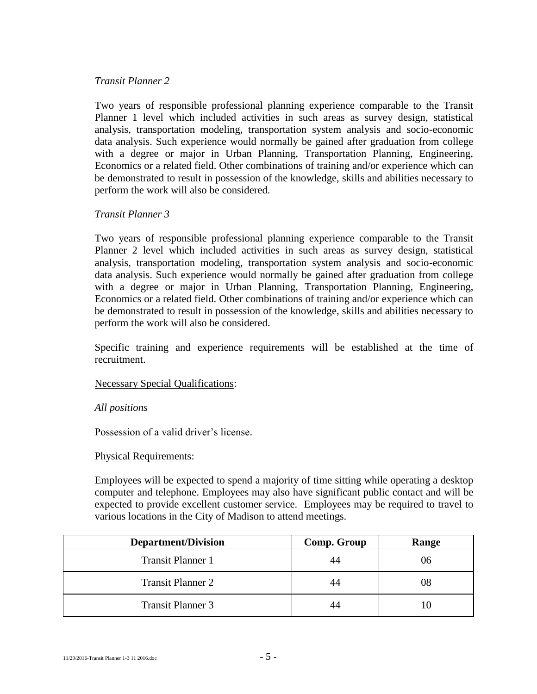## *Transit Planner 2*

Two years of responsible professional planning experience comparable to the Transit Planner 1 level which included activities in such areas as survey design, statistical analysis, transportation modeling, transportation system analysis and socio-economic data analysis. Such experience would normally be gained after graduation from college with a degree or major in Urban Planning, Transportation Planning, Engineering, Economics or a related field. Other combinations of training and/or experience which can be demonstrated to result in possession of the knowledge, skills and abilities necessary to perform the work will also be considered.

# *Transit Planner 3*

Two years of responsible professional planning experience comparable to the Transit Planner 2 level which included activities in such areas as survey design, statistical analysis, transportation modeling, transportation system analysis and socio-economic data analysis. Such experience would normally be gained after graduation from college with a degree or major in Urban Planning, Transportation Planning, Engineering, Economics or a related field. Other combinations of training and/or experience which can be demonstrated to result in possession of the knowledge, skills and abilities necessary to perform the work will also be considered.

Specific training and experience requirements will be established at the time of recruitment.

#### Necessary Special Qualifications:

#### *All positions*

Possession of a valid driver's license.

# Physical Requirements:

Employees will be expected to spend a majority of time sitting while operating a desktop computer and telephone. Employees may also have significant public contact and will be expected to provide excellent customer service. Employees may be required to travel to various locations in the City of Madison to attend meetings.

| <b>Department/Division</b> | Comp. Group | Range |
|----------------------------|-------------|-------|
| <b>Transit Planner 1</b>   |             | 06    |
| <b>Transit Planner 2</b>   |             | 08    |
| <b>Transit Planner 3</b>   |             |       |